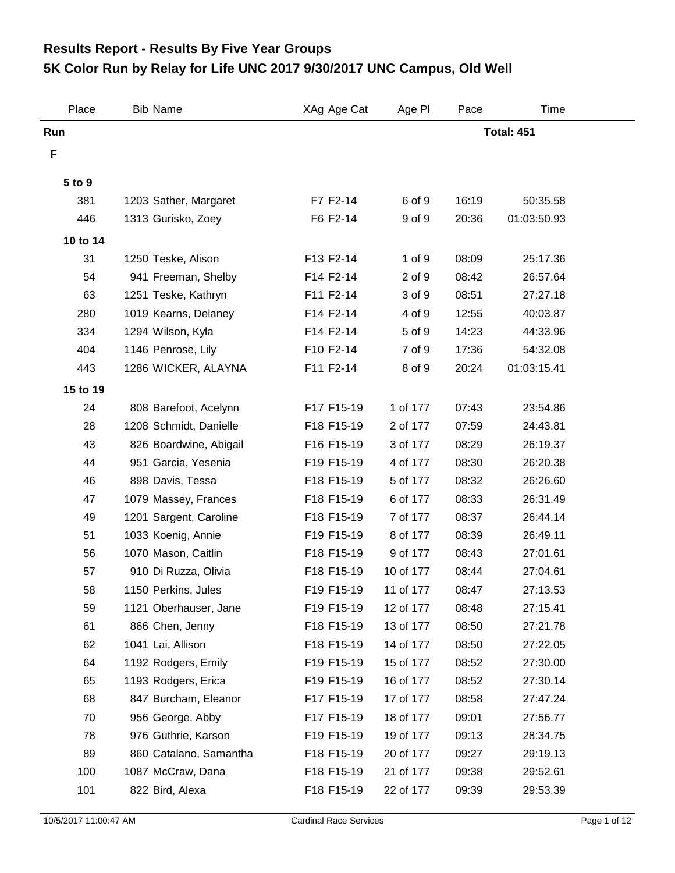## **5K Color Run by Relay for Life UNC 2017 9/30/2017 UNC Campus, Old Well Results Report - Results By Five Year Groups**

| Place    | <b>Bib Name</b>        | XAg Age Cat | Age PI    | Pace  | Time              |  |
|----------|------------------------|-------------|-----------|-------|-------------------|--|
| Run      |                        |             |           |       | <b>Total: 451</b> |  |
| F        |                        |             |           |       |                   |  |
|          |                        |             |           |       |                   |  |
| 5 to 9   |                        |             |           |       |                   |  |
| 381      | 1203 Sather, Margaret  | F7 F2-14    | 6 of 9    | 16:19 | 50:35.58          |  |
| 446      | 1313 Gurisko, Zoey     | F6 F2-14    | 9 of 9    | 20:36 | 01:03:50.93       |  |
| 10 to 14 |                        |             |           |       |                   |  |
| 31       | 1250 Teske, Alison     | F13 F2-14   | 1 of 9    | 08:09 | 25:17.36          |  |
| 54       | 941 Freeman, Shelby    | F14 F2-14   | 2 of 9    | 08:42 | 26:57.64          |  |
| 63       | 1251 Teske, Kathryn    | F11 F2-14   | 3 of 9    | 08:51 | 27:27.18          |  |
| 280      | 1019 Kearns, Delaney   | F14 F2-14   | 4 of 9    | 12:55 | 40:03.87          |  |
| 334      | 1294 Wilson, Kyla      | F14 F2-14   | 5 of 9    | 14:23 | 44:33.96          |  |
| 404      | 1146 Penrose, Lily     | F10 F2-14   | 7 of 9    | 17:36 | 54:32.08          |  |
| 443      | 1286 WICKER, ALAYNA    | F11 F2-14   | 8 of 9    | 20:24 | 01:03:15.41       |  |
| 15 to 19 |                        |             |           |       |                   |  |
| 24       | 808 Barefoot, Acelynn  | F17 F15-19  | 1 of 177  | 07:43 | 23:54.86          |  |
| 28       | 1208 Schmidt, Danielle | F18 F15-19  | 2 of 177  | 07:59 | 24:43.81          |  |
| 43       | 826 Boardwine, Abigail | F16 F15-19  | 3 of 177  | 08:29 | 26:19.37          |  |
| 44       | 951 Garcia, Yesenia    | F19 F15-19  | 4 of 177  | 08:30 | 26:20.38          |  |
| 46       | 898 Davis, Tessa       | F18 F15-19  | 5 of 177  | 08:32 | 26:26.60          |  |
| 47       | 1079 Massey, Frances   | F18 F15-19  | 6 of 177  | 08:33 | 26:31.49          |  |
| 49       | 1201 Sargent, Caroline | F18 F15-19  | 7 of 177  | 08:37 | 26:44.14          |  |
| 51       | 1033 Koenig, Annie     | F19 F15-19  | 8 of 177  | 08:39 | 26:49.11          |  |
| 56       | 1070 Mason, Caitlin    | F18 F15-19  | 9 of 177  | 08:43 | 27:01.61          |  |
| 57       | 910 Di Ruzza, Olivia   | F18 F15-19  | 10 of 177 | 08:44 | 27:04.61          |  |
| 58       | 1150 Perkins, Jules    | F19 F15-19  | 11 of 177 | 08:47 | 27:13.53          |  |
| 59       | 1121 Oberhauser, Jane  | F19 F15-19  | 12 of 177 | 08:48 | 27:15.41          |  |
| 61       | 866 Chen, Jenny        | F18 F15-19  | 13 of 177 | 08:50 | 27:21.78          |  |
| 62       | 1041 Lai, Allison      | F18 F15-19  | 14 of 177 | 08:50 | 27:22.05          |  |
| 64       | 1192 Rodgers, Emily    | F19 F15-19  | 15 of 177 | 08:52 | 27:30.00          |  |
| 65       | 1193 Rodgers, Erica    | F19 F15-19  | 16 of 177 | 08:52 | 27:30.14          |  |
| 68       | 847 Burcham, Eleanor   | F17 F15-19  | 17 of 177 | 08:58 | 27:47.24          |  |
| 70       | 956 George, Abby       | F17 F15-19  | 18 of 177 | 09:01 | 27:56.77          |  |
| 78       | 976 Guthrie, Karson    | F19 F15-19  | 19 of 177 | 09:13 | 28:34.75          |  |
| 89       | 860 Catalano, Samantha | F18 F15-19  | 20 of 177 | 09:27 | 29:19.13          |  |
| 100      | 1087 McCraw, Dana      | F18 F15-19  | 21 of 177 | 09:38 | 29:52.61          |  |
| 101      | 822 Bird, Alexa        | F18 F15-19  | 22 of 177 | 09:39 | 29:53.39          |  |
|          |                        |             |           |       |                   |  |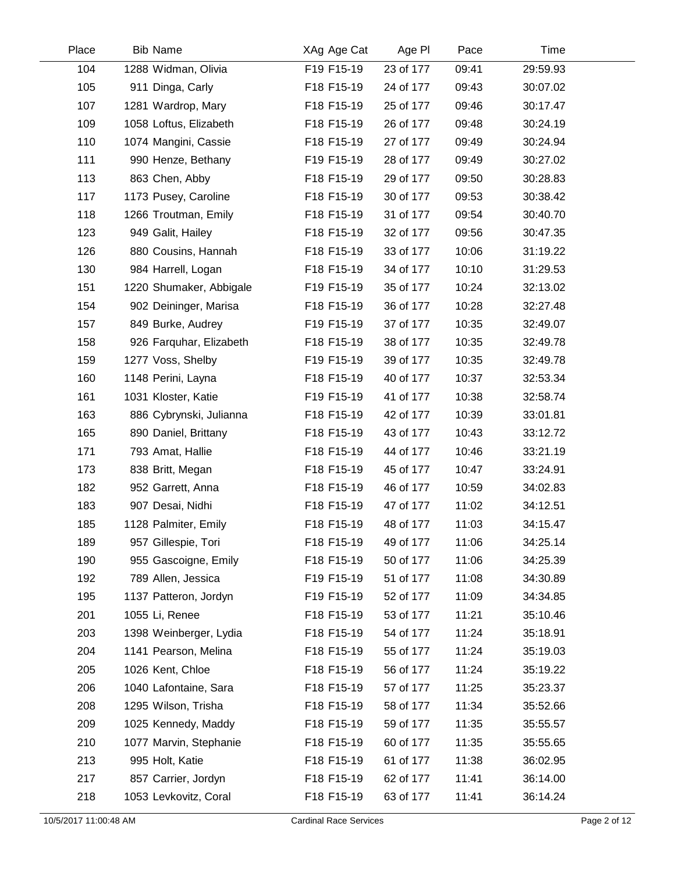| Place | <b>Bib Name</b>         | XAg Age Cat | Age PI    | Pace  | Time     |  |
|-------|-------------------------|-------------|-----------|-------|----------|--|
| 104   | 1288 Widman, Olivia     | F19 F15-19  | 23 of 177 | 09:41 | 29:59.93 |  |
| 105   | 911 Dinga, Carly        | F18 F15-19  | 24 of 177 | 09:43 | 30:07.02 |  |
| 107   | 1281 Wardrop, Mary      | F18 F15-19  | 25 of 177 | 09:46 | 30:17.47 |  |
| 109   | 1058 Loftus, Elizabeth  | F18 F15-19  | 26 of 177 | 09:48 | 30:24.19 |  |
| 110   | 1074 Mangini, Cassie    | F18 F15-19  | 27 of 177 | 09:49 | 30:24.94 |  |
| 111   | 990 Henze, Bethany      | F19 F15-19  | 28 of 177 | 09:49 | 30:27.02 |  |
| 113   | 863 Chen, Abby          | F18 F15-19  | 29 of 177 | 09:50 | 30:28.83 |  |
| 117   | 1173 Pusey, Caroline    | F18 F15-19  | 30 of 177 | 09:53 | 30:38.42 |  |
| 118   | 1266 Troutman, Emily    | F18 F15-19  | 31 of 177 | 09:54 | 30:40.70 |  |
| 123   | 949 Galit, Hailey       | F18 F15-19  | 32 of 177 | 09:56 | 30:47.35 |  |
| 126   | 880 Cousins, Hannah     | F18 F15-19  | 33 of 177 | 10:06 | 31:19.22 |  |
| 130   | 984 Harrell, Logan      | F18 F15-19  | 34 of 177 | 10:10 | 31:29.53 |  |
| 151   | 1220 Shumaker, Abbigale | F19 F15-19  | 35 of 177 | 10:24 | 32:13.02 |  |
| 154   | 902 Deininger, Marisa   | F18 F15-19  | 36 of 177 | 10:28 | 32:27.48 |  |
| 157   | 849 Burke, Audrey       | F19 F15-19  | 37 of 177 | 10:35 | 32:49.07 |  |
| 158   | 926 Farquhar, Elizabeth | F18 F15-19  | 38 of 177 | 10:35 | 32:49.78 |  |
| 159   | 1277 Voss, Shelby       | F19 F15-19  | 39 of 177 | 10:35 | 32:49.78 |  |
| 160   | 1148 Perini, Layna      | F18 F15-19  | 40 of 177 | 10:37 | 32:53.34 |  |
| 161   | 1031 Kloster, Katie     | F19 F15-19  | 41 of 177 | 10:38 | 32:58.74 |  |
| 163   | 886 Cybrynski, Julianna | F18 F15-19  | 42 of 177 | 10:39 | 33:01.81 |  |
| 165   | 890 Daniel, Brittany    | F18 F15-19  | 43 of 177 | 10:43 | 33:12.72 |  |
| 171   | 793 Amat, Hallie        | F18 F15-19  | 44 of 177 | 10:46 | 33:21.19 |  |
| 173   | 838 Britt, Megan        | F18 F15-19  | 45 of 177 | 10:47 | 33:24.91 |  |
| 182   | 952 Garrett, Anna       | F18 F15-19  | 46 of 177 | 10:59 | 34:02.83 |  |
| 183   | 907 Desai, Nidhi        | F18 F15-19  | 47 of 177 | 11:02 | 34:12.51 |  |
| 185   | 1128 Palmiter, Emily    | F18 F15-19  | 48 of 177 | 11:03 | 34:15.47 |  |
| 189   | 957 Gillespie, Tori     | F18 F15-19  | 49 of 177 | 11:06 | 34:25.14 |  |
| 190   | 955 Gascoigne, Emily    | F18 F15-19  | 50 of 177 | 11:06 | 34:25.39 |  |
| 192   | 789 Allen, Jessica      | F19 F15-19  | 51 of 177 | 11:08 | 34:30.89 |  |
| 195   | 1137 Patteron, Jordyn   | F19 F15-19  | 52 of 177 | 11:09 | 34:34.85 |  |
| 201   | 1055 Li, Renee          | F18 F15-19  | 53 of 177 | 11:21 | 35:10.46 |  |
| 203   | 1398 Weinberger, Lydia  | F18 F15-19  | 54 of 177 | 11:24 | 35:18.91 |  |
| 204   | 1141 Pearson, Melina    | F18 F15-19  | 55 of 177 | 11:24 | 35:19.03 |  |
| 205   | 1026 Kent, Chloe        | F18 F15-19  | 56 of 177 | 11:24 | 35:19.22 |  |
| 206   | 1040 Lafontaine, Sara   | F18 F15-19  | 57 of 177 | 11:25 | 35:23.37 |  |
| 208   | 1295 Wilson, Trisha     | F18 F15-19  | 58 of 177 | 11:34 | 35:52.66 |  |
| 209   | 1025 Kennedy, Maddy     | F18 F15-19  | 59 of 177 | 11:35 | 35:55.57 |  |
| 210   | 1077 Marvin, Stephanie  | F18 F15-19  | 60 of 177 | 11:35 | 35:55.65 |  |
| 213   | 995 Holt, Katie         | F18 F15-19  | 61 of 177 | 11:38 | 36:02.95 |  |
| 217   | 857 Carrier, Jordyn     | F18 F15-19  | 62 of 177 | 11:41 | 36:14.00 |  |
| 218   | 1053 Levkovitz, Coral   | F18 F15-19  | 63 of 177 | 11:41 | 36:14.24 |  |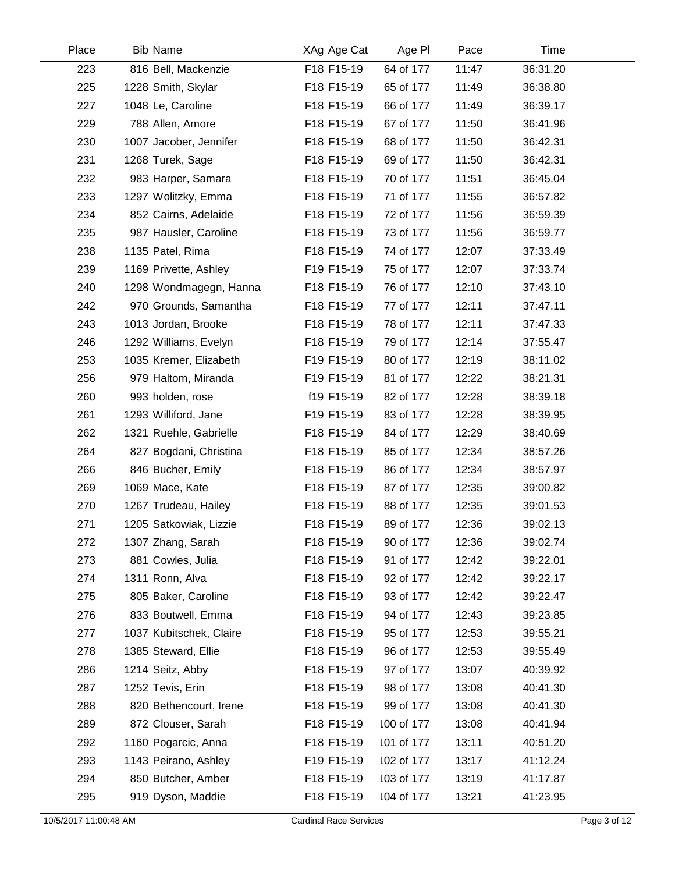| Place | <b>Bib Name</b>         | XAg Age Cat | Age PI     | Pace  | Time     |  |
|-------|-------------------------|-------------|------------|-------|----------|--|
| 223   | 816 Bell, Mackenzie     | F18 F15-19  | 64 of 177  | 11:47 | 36:31.20 |  |
| 225   | 1228 Smith, Skylar      | F18 F15-19  | 65 of 177  | 11:49 | 36:38.80 |  |
| 227   | 1048 Le, Caroline       | F18 F15-19  | 66 of 177  | 11:49 | 36:39.17 |  |
| 229   | 788 Allen, Amore        | F18 F15-19  | 67 of 177  | 11:50 | 36:41.96 |  |
| 230   | 1007 Jacober, Jennifer  | F18 F15-19  | 68 of 177  | 11:50 | 36:42.31 |  |
| 231   | 1268 Turek, Sage        | F18 F15-19  | 69 of 177  | 11:50 | 36:42.31 |  |
| 232   | 983 Harper, Samara      | F18 F15-19  | 70 of 177  | 11:51 | 36:45.04 |  |
| 233   | 1297 Wolitzky, Emma     | F18 F15-19  | 71 of 177  | 11:55 | 36:57.82 |  |
| 234   | 852 Cairns, Adelaide    | F18 F15-19  | 72 of 177  | 11:56 | 36:59.39 |  |
| 235   | 987 Hausler, Caroline   | F18 F15-19  | 73 of 177  | 11:56 | 36:59.77 |  |
| 238   | 1135 Patel, Rima        | F18 F15-19  | 74 of 177  | 12:07 | 37:33.49 |  |
| 239   | 1169 Privette, Ashley   | F19 F15-19  | 75 of 177  | 12:07 | 37:33.74 |  |
| 240   | 1298 Wondmagegn, Hanna  | F18 F15-19  | 76 of 177  | 12:10 | 37:43.10 |  |
| 242   | 970 Grounds, Samantha   | F18 F15-19  | 77 of 177  | 12:11 | 37:47.11 |  |
| 243   | 1013 Jordan, Brooke     | F18 F15-19  | 78 of 177  | 12:11 | 37:47.33 |  |
| 246   | 1292 Williams, Evelyn   | F18 F15-19  | 79 of 177  | 12:14 | 37:55.47 |  |
| 253   | 1035 Kremer, Elizabeth  | F19 F15-19  | 80 of 177  | 12:19 | 38:11.02 |  |
| 256   | 979 Haltom, Miranda     | F19 F15-19  | 81 of 177  | 12:22 | 38:21.31 |  |
| 260   | 993 holden, rose        | f19 F15-19  | 82 of 177  | 12:28 | 38:39.18 |  |
| 261   | 1293 Williford, Jane    | F19 F15-19  | 83 of 177  | 12:28 | 38:39.95 |  |
| 262   | 1321 Ruehle, Gabrielle  | F18 F15-19  | 84 of 177  | 12:29 | 38:40.69 |  |
| 264   | 827 Bogdani, Christina  | F18 F15-19  | 85 of 177  | 12:34 | 38:57.26 |  |
| 266   | 846 Bucher, Emily       | F18 F15-19  | 86 of 177  | 12:34 | 38:57.97 |  |
| 269   | 1069 Mace, Kate         | F18 F15-19  | 87 of 177  | 12:35 | 39:00.82 |  |
| 270   | 1267 Trudeau, Hailey    | F18 F15-19  | 88 of 177  | 12:35 | 39:01.53 |  |
| 271   | 1205 Satkowiak, Lizzie  | F18 F15-19  | 89 of 177  | 12:36 | 39:02.13 |  |
| 272   | 1307 Zhang, Sarah       | F18 F15-19  | 90 of 177  | 12:36 | 39:02.74 |  |
| 273   | 881 Cowles, Julia       | F18 F15-19  | 91 of 177  | 12:42 | 39:22.01 |  |
| 274   | 1311 Ronn, Alva         | F18 F15-19  | 92 of 177  | 12:42 | 39:22.17 |  |
| 275   | 805 Baker, Caroline     | F18 F15-19  | 93 of 177  | 12:42 | 39:22.47 |  |
| 276   | 833 Boutwell, Emma      | F18 F15-19  | 94 of 177  | 12:43 | 39:23.85 |  |
| 277   | 1037 Kubitschek, Claire | F18 F15-19  | 95 of 177  | 12:53 | 39:55.21 |  |
| 278   | 1385 Steward, Ellie     | F18 F15-19  | 96 of 177  | 12:53 | 39:55.49 |  |
| 286   | 1214 Seitz, Abby        | F18 F15-19  | 97 of 177  | 13:07 | 40:39.92 |  |
| 287   | 1252 Tevis, Erin        | F18 F15-19  | 98 of 177  | 13:08 | 40:41.30 |  |
| 288   | 820 Bethencourt, Irene  | F18 F15-19  | 99 of 177  | 13:08 | 40:41.30 |  |
| 289   | 872 Clouser, Sarah      | F18 F15-19  | 100 of 177 | 13:08 | 40:41.94 |  |
| 292   | 1160 Pogarcic, Anna     | F18 F15-19  | 101 of 177 | 13:11 | 40:51.20 |  |
| 293   | 1143 Peirano, Ashley    | F19 F15-19  | 102 of 177 | 13:17 | 41:12.24 |  |
| 294   | 850 Butcher, Amber      | F18 F15-19  | 103 of 177 | 13:19 | 41:17.87 |  |
| 295   | 919 Dyson, Maddie       | F18 F15-19  | 104 of 177 | 13:21 | 41:23.95 |  |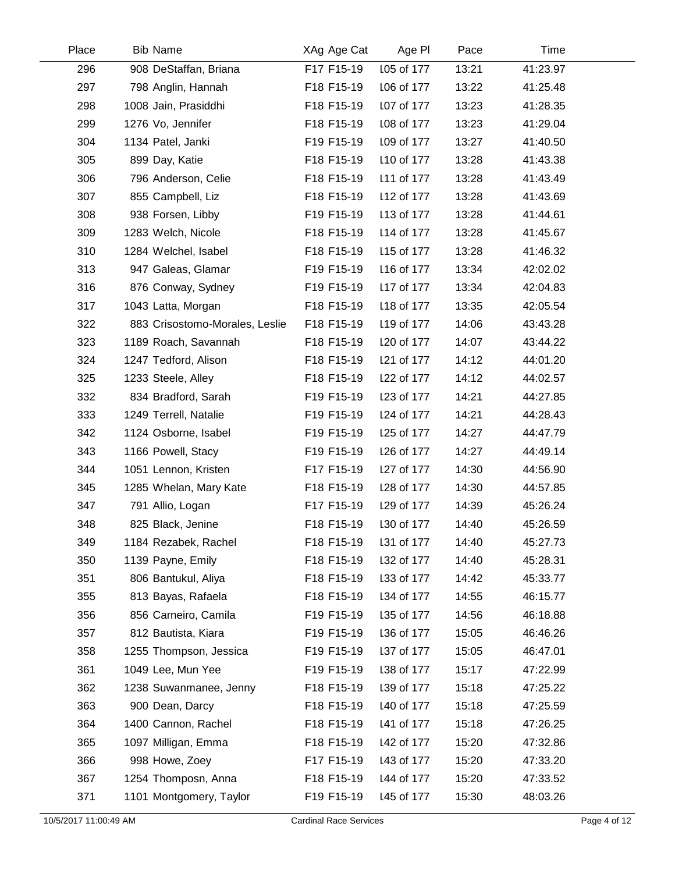| Place | <b>Bib Name</b>                | XAg Age Cat | Age PI     | Pace  | Time     |  |
|-------|--------------------------------|-------------|------------|-------|----------|--|
| 296   | 908 DeStaffan, Briana          | F17 F15-19  | 105 of 177 | 13:21 | 41:23.97 |  |
| 297   | 798 Anglin, Hannah             | F18 F15-19  | 106 of 177 | 13:22 | 41:25.48 |  |
| 298   | 1008 Jain, Prasiddhi           | F18 F15-19  | 107 of 177 | 13:23 | 41:28.35 |  |
| 299   | 1276 Vo, Jennifer              | F18 F15-19  | 108 of 177 | 13:23 | 41:29.04 |  |
| 304   | 1134 Patel, Janki              | F19 F15-19  | 109 of 177 | 13:27 | 41:40.50 |  |
| 305   | 899 Day, Katie                 | F18 F15-19  | 110 of 177 | 13:28 | 41:43.38 |  |
| 306   | 796 Anderson, Celie            | F18 F15-19  | 111 of 177 | 13:28 | 41:43.49 |  |
| 307   | 855 Campbell, Liz              | F18 F15-19  | 112 of 177 | 13:28 | 41:43.69 |  |
| 308   | 938 Forsen, Libby              | F19 F15-19  | 113 of 177 | 13:28 | 41:44.61 |  |
| 309   | 1283 Welch, Nicole             | F18 F15-19  | 114 of 177 | 13:28 | 41:45.67 |  |
| 310   | 1284 Welchel, Isabel           | F18 F15-19  | 115 of 177 | 13:28 | 41:46.32 |  |
| 313   | 947 Galeas, Glamar             | F19 F15-19  | 116 of 177 | 13:34 | 42:02.02 |  |
| 316   | 876 Conway, Sydney             | F19 F15-19  | 117 of 177 | 13:34 | 42:04.83 |  |
| 317   | 1043 Latta, Morgan             | F18 F15-19  | 118 of 177 | 13:35 | 42:05.54 |  |
| 322   | 883 Crisostomo-Morales, Leslie | F18 F15-19  | 119 of 177 | 14:06 | 43:43.28 |  |
| 323   | 1189 Roach, Savannah           | F18 F15-19  | 120 of 177 | 14:07 | 43:44.22 |  |
| 324   | 1247 Tedford, Alison           | F18 F15-19  | 121 of 177 | 14:12 | 44:01.20 |  |
| 325   | 1233 Steele, Alley             | F18 F15-19  | 122 of 177 | 14:12 | 44:02.57 |  |
| 332   | 834 Bradford, Sarah            | F19 F15-19  | 123 of 177 | 14:21 | 44:27.85 |  |
| 333   | 1249 Terrell, Natalie          | F19 F15-19  | 124 of 177 | 14:21 | 44:28.43 |  |
| 342   | 1124 Osborne, Isabel           | F19 F15-19  | 125 of 177 | 14:27 | 44:47.79 |  |
| 343   | 1166 Powell, Stacy             | F19 F15-19  | 126 of 177 | 14:27 | 44:49.14 |  |
| 344   | 1051 Lennon, Kristen           | F17 F15-19  | 127 of 177 | 14:30 | 44:56.90 |  |
| 345   | 1285 Whelan, Mary Kate         | F18 F15-19  | 128 of 177 | 14:30 | 44:57.85 |  |
| 347   | 791 Allio, Logan               | F17 F15-19  | 129 of 177 | 14:39 | 45:26.24 |  |
| 348   | 825 Black, Jenine              | F18 F15-19  | 130 of 177 | 14:40 | 45:26.59 |  |
| 349   | 1184 Rezabek, Rachel           | F18 F15-19  | 131 of 177 | 14:40 | 45:27.73 |  |
| 350   | 1139 Payne, Emily              | F18 F15-19  | 132 of 177 | 14:40 | 45:28.31 |  |
| 351   | 806 Bantukul, Aliya            | F18 F15-19  | 133 of 177 | 14:42 | 45:33.77 |  |
| 355   | 813 Bayas, Rafaela             | F18 F15-19  | 134 of 177 | 14:55 | 46:15.77 |  |
| 356   | 856 Carneiro, Camila           | F19 F15-19  | 135 of 177 | 14:56 | 46:18.88 |  |
| 357   | 812 Bautista, Kiara            | F19 F15-19  | 136 of 177 | 15:05 | 46:46.26 |  |
| 358   | 1255 Thompson, Jessica         | F19 F15-19  | 137 of 177 | 15:05 | 46:47.01 |  |
| 361   | 1049 Lee, Mun Yee              | F19 F15-19  | 138 of 177 | 15:17 | 47:22.99 |  |
| 362   | 1238 Suwanmanee, Jenny         | F18 F15-19  | 139 of 177 | 15:18 | 47:25.22 |  |
| 363   | 900 Dean, Darcy                | F18 F15-19  | 140 of 177 | 15:18 | 47:25.59 |  |
| 364   | 1400 Cannon, Rachel            | F18 F15-19  | 141 of 177 | 15:18 | 47:26.25 |  |
| 365   | 1097 Milligan, Emma            | F18 F15-19  | 142 of 177 | 15:20 | 47:32.86 |  |
| 366   | 998 Howe, Zoey                 | F17 F15-19  | 143 of 177 | 15:20 | 47:33.20 |  |
| 367   | 1254 Thomposn, Anna            | F18 F15-19  | 144 of 177 | 15:20 | 47:33.52 |  |
| 371   | 1101 Montgomery, Taylor        | F19 F15-19  | 145 of 177 | 15:30 | 48:03.26 |  |
|       |                                |             |            |       |          |  |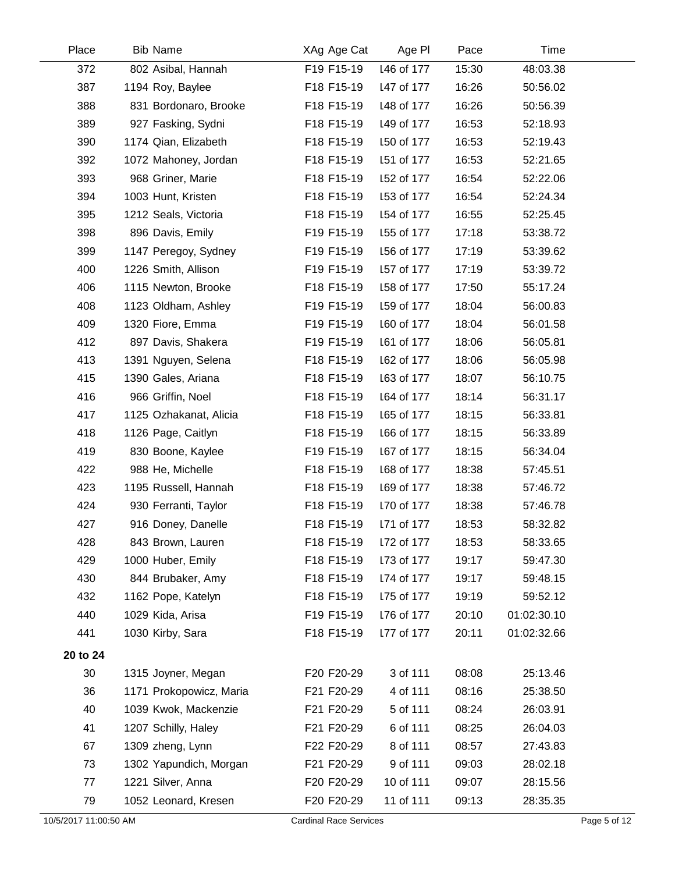| Place                 | <b>Bib Name</b>         | XAg Age Cat                   | Age PI     | Pace  | Time        |              |
|-----------------------|-------------------------|-------------------------------|------------|-------|-------------|--------------|
| 372                   | 802 Asibal, Hannah      | F19 F15-19                    | 146 of 177 | 15:30 | 48:03.38    |              |
| 387                   | 1194 Roy, Baylee        | F18 F15-19                    | 147 of 177 | 16:26 | 50:56.02    |              |
| 388                   | 831 Bordonaro, Brooke   | F18 F15-19                    | 148 of 177 | 16:26 | 50:56.39    |              |
| 389                   | 927 Fasking, Sydni      | F18 F15-19                    | 149 of 177 | 16:53 | 52:18.93    |              |
| 390                   | 1174 Qian, Elizabeth    | F18 F15-19                    | 150 of 177 | 16:53 | 52:19.43    |              |
| 392                   | 1072 Mahoney, Jordan    | F18 F15-19                    | 151 of 177 | 16:53 | 52:21.65    |              |
| 393                   | 968 Griner, Marie       | F18 F15-19                    | 152 of 177 | 16:54 | 52:22.06    |              |
| 394                   | 1003 Hunt, Kristen      | F18 F15-19                    | 153 of 177 | 16:54 | 52:24.34    |              |
| 395                   | 1212 Seals, Victoria    | F18 F15-19                    | 154 of 177 | 16:55 | 52:25.45    |              |
| 398                   | 896 Davis, Emily        | F19 F15-19                    | 155 of 177 | 17:18 | 53:38.72    |              |
| 399                   | 1147 Peregoy, Sydney    | F19 F15-19                    | 156 of 177 | 17:19 | 53:39.62    |              |
| 400                   | 1226 Smith, Allison     | F19 F15-19                    | 157 of 177 | 17:19 | 53:39.72    |              |
| 406                   | 1115 Newton, Brooke     | F18 F15-19                    | 158 of 177 | 17:50 | 55:17.24    |              |
| 408                   | 1123 Oldham, Ashley     | F19 F15-19                    | 159 of 177 | 18:04 | 56:00.83    |              |
| 409                   | 1320 Fiore, Emma        | F19 F15-19                    | 160 of 177 | 18:04 | 56:01.58    |              |
| 412                   | 897 Davis, Shakera      | F19 F15-19                    | 161 of 177 | 18:06 | 56:05.81    |              |
| 413                   | 1391 Nguyen, Selena     | F18 F15-19                    | 162 of 177 | 18:06 | 56:05.98    |              |
| 415                   | 1390 Gales, Ariana      | F18 F15-19                    | 163 of 177 | 18:07 | 56:10.75    |              |
| 416                   | 966 Griffin, Noel       | F18 F15-19                    | 164 of 177 | 18:14 | 56:31.17    |              |
| 417                   | 1125 Ozhakanat, Alicia  | F18 F15-19                    | 165 of 177 | 18:15 | 56:33.81    |              |
| 418                   | 1126 Page, Caitlyn      | F18 F15-19                    | 166 of 177 | 18:15 | 56:33.89    |              |
| 419                   | 830 Boone, Kaylee       | F19 F15-19                    | 167 of 177 | 18:15 | 56:34.04    |              |
| 422                   | 988 He, Michelle        | F18 F15-19                    | 168 of 177 | 18:38 | 57:45.51    |              |
| 423                   | 1195 Russell, Hannah    | F18 F15-19                    | 169 of 177 | 18:38 | 57:46.72    |              |
| 424                   | 930 Ferranti, Taylor    | F18 F15-19                    | 170 of 177 | 18:38 | 57:46.78    |              |
| 427                   | 916 Doney, Danelle      | F18 F15-19                    | 171 of 177 | 18:53 | 58:32.82    |              |
| 428                   | 843 Brown, Lauren       | F18 F15-19                    | 172 of 177 | 18:53 | 58:33.65    |              |
| 429                   | 1000 Huber, Emily       | F18 F15-19                    | 173 of 177 | 19:17 | 59:47.30    |              |
| 430                   | 844 Brubaker, Amy       | F18 F15-19                    | 174 of 177 | 19:17 | 59:48.15    |              |
| 432                   | 1162 Pope, Katelyn      | F18 F15-19                    | 175 of 177 | 19:19 | 59:52.12    |              |
| 440                   | 1029 Kida, Arisa        | F19 F15-19                    | 176 of 177 | 20:10 | 01:02:30.10 |              |
| 441                   | 1030 Kirby, Sara        | F18 F15-19                    | 177 of 177 | 20:11 | 01:02:32.66 |              |
| 20 to 24              |                         |                               |            |       |             |              |
| 30                    | 1315 Joyner, Megan      | F20 F20-29                    | 3 of 111   | 08:08 | 25:13.46    |              |
| 36                    | 1171 Prokopowicz, Maria | F21 F20-29                    | 4 of 111   | 08:16 | 25:38.50    |              |
| 40                    | 1039 Kwok, Mackenzie    | F21 F20-29                    | 5 of 111   | 08:24 | 26:03.91    |              |
| 41                    | 1207 Schilly, Haley     | F21 F20-29                    | 6 of 111   | 08:25 | 26:04.03    |              |
| 67                    | 1309 zheng, Lynn        | F22 F20-29                    | 8 of 111   | 08:57 | 27:43.83    |              |
| 73                    | 1302 Yapundich, Morgan  | F21 F20-29                    | 9 of 111   | 09:03 | 28:02.18    |              |
| 77                    | 1221 Silver, Anna       | F20 F20-29                    | 10 of 111  | 09:07 | 28:15.56    |              |
| 79                    | 1052 Leonard, Kresen    | F20 F20-29                    | 11 of 111  | 09:13 | 28:35.35    |              |
| 10/5/2017 11:00:50 AM |                         | <b>Cardinal Race Services</b> |            |       |             | Page 5 of 12 |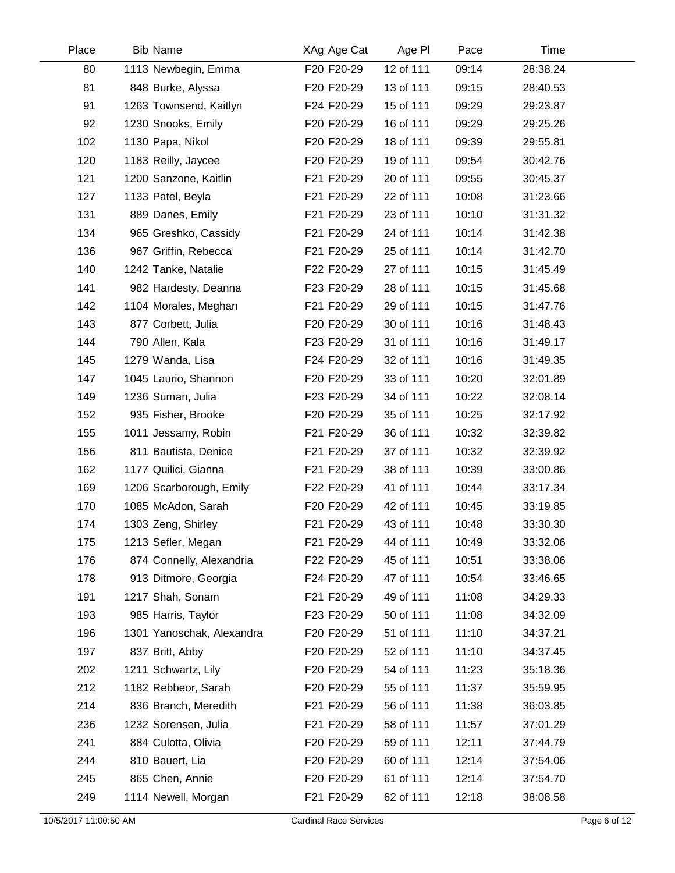| Place | <b>Bib Name</b>           | XAg Age Cat | Age PI    | Pace  | Time     |  |
|-------|---------------------------|-------------|-----------|-------|----------|--|
| 80    | 1113 Newbegin, Emma       | F20 F20-29  | 12 of 111 | 09:14 | 28:38.24 |  |
| 81    | 848 Burke, Alyssa         | F20 F20-29  | 13 of 111 | 09:15 | 28:40.53 |  |
| 91    | 1263 Townsend, Kaitlyn    | F24 F20-29  | 15 of 111 | 09:29 | 29:23.87 |  |
| 92    | 1230 Snooks, Emily        | F20 F20-29  | 16 of 111 | 09:29 | 29:25.26 |  |
| 102   | 1130 Papa, Nikol          | F20 F20-29  | 18 of 111 | 09:39 | 29:55.81 |  |
| 120   | 1183 Reilly, Jaycee       | F20 F20-29  | 19 of 111 | 09:54 | 30:42.76 |  |
| 121   | 1200 Sanzone, Kaitlin     | F21 F20-29  | 20 of 111 | 09:55 | 30:45.37 |  |
| 127   | 1133 Patel, Beyla         | F21 F20-29  | 22 of 111 | 10:08 | 31:23.66 |  |
| 131   | 889 Danes, Emily          | F21 F20-29  | 23 of 111 | 10:10 | 31:31.32 |  |
| 134   | 965 Greshko, Cassidy      | F21 F20-29  | 24 of 111 | 10:14 | 31:42.38 |  |
| 136   | 967 Griffin, Rebecca      | F21 F20-29  | 25 of 111 | 10:14 | 31:42.70 |  |
| 140   | 1242 Tanke, Natalie       | F22 F20-29  | 27 of 111 | 10:15 | 31:45.49 |  |
| 141   | 982 Hardesty, Deanna      | F23 F20-29  | 28 of 111 | 10:15 | 31:45.68 |  |
| 142   | 1104 Morales, Meghan      | F21 F20-29  | 29 of 111 | 10:15 | 31:47.76 |  |
| 143   | 877 Corbett, Julia        | F20 F20-29  | 30 of 111 | 10:16 | 31:48.43 |  |
| 144   | 790 Allen, Kala           | F23 F20-29  | 31 of 111 | 10:16 | 31:49.17 |  |
| 145   | 1279 Wanda, Lisa          | F24 F20-29  | 32 of 111 | 10:16 | 31:49.35 |  |
| 147   | 1045 Laurio, Shannon      | F20 F20-29  | 33 of 111 | 10:20 | 32:01.89 |  |
| 149   | 1236 Suman, Julia         | F23 F20-29  | 34 of 111 | 10:22 | 32:08.14 |  |
| 152   | 935 Fisher, Brooke        | F20 F20-29  | 35 of 111 | 10:25 | 32:17.92 |  |
| 155   | 1011 Jessamy, Robin       | F21 F20-29  | 36 of 111 | 10:32 | 32:39.82 |  |
| 156   | 811 Bautista, Denice      | F21 F20-29  | 37 of 111 | 10:32 | 32:39.92 |  |
| 162   | 1177 Quilici, Gianna      | F21 F20-29  | 38 of 111 | 10:39 | 33:00.86 |  |
| 169   | 1206 Scarborough, Emily   | F22 F20-29  | 41 of 111 | 10:44 | 33:17.34 |  |
| 170   | 1085 McAdon, Sarah        | F20 F20-29  | 42 of 111 | 10:45 | 33:19.85 |  |
| 174   | 1303 Zeng, Shirley        | F21 F20-29  | 43 of 111 | 10:48 | 33:30.30 |  |
| 175   | 1213 Sefler, Megan        | F21 F20-29  | 44 of 111 | 10:49 | 33:32.06 |  |
| 176   | 874 Connelly, Alexandria  | F22 F20-29  | 45 of 111 | 10:51 | 33:38.06 |  |
| 178   | 913 Ditmore, Georgia      | F24 F20-29  | 47 of 111 | 10:54 | 33:46.65 |  |
| 191   | 1217 Shah, Sonam          | F21 F20-29  | 49 of 111 | 11:08 | 34:29.33 |  |
| 193   | 985 Harris, Taylor        | F23 F20-29  | 50 of 111 | 11:08 | 34:32.09 |  |
| 196   | 1301 Yanoschak, Alexandra | F20 F20-29  | 51 of 111 | 11:10 | 34:37.21 |  |
| 197   | 837 Britt, Abby           | F20 F20-29  | 52 of 111 | 11:10 | 34:37.45 |  |
| 202   | 1211 Schwartz, Lily       | F20 F20-29  | 54 of 111 | 11:23 | 35:18.36 |  |
| 212   | 1182 Rebbeor, Sarah       | F20 F20-29  | 55 of 111 | 11:37 | 35:59.95 |  |
| 214   | 836 Branch, Meredith      | F21 F20-29  | 56 of 111 | 11:38 | 36:03.85 |  |
| 236   | 1232 Sorensen, Julia      | F21 F20-29  | 58 of 111 | 11:57 | 37:01.29 |  |
| 241   | 884 Culotta, Olivia       | F20 F20-29  | 59 of 111 | 12:11 | 37:44.79 |  |
| 244   | 810 Bauert, Lia           | F20 F20-29  | 60 of 111 | 12:14 | 37:54.06 |  |
| 245   | 865 Chen, Annie           | F20 F20-29  | 61 of 111 | 12:14 | 37:54.70 |  |
| 249   | 1114 Newell, Morgan       | F21 F20-29  | 62 of 111 | 12:18 | 38:08.58 |  |
|       |                           |             |           |       |          |  |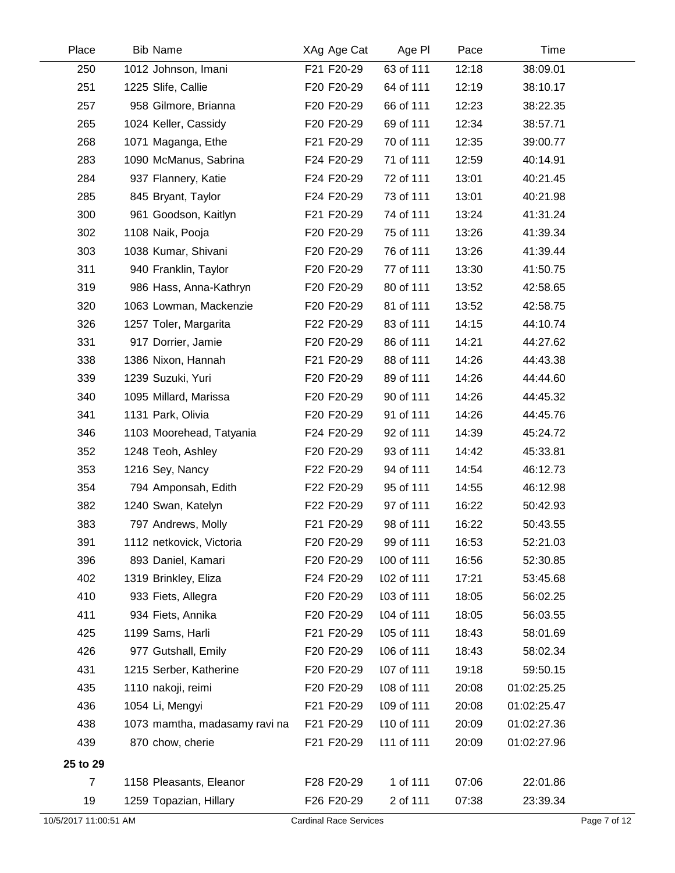| Place                 | <b>Bib Name</b>               | XAg Age Cat                   | Age PI     | Pace  | Time        |              |
|-----------------------|-------------------------------|-------------------------------|------------|-------|-------------|--------------|
| 250                   | 1012 Johnson, Imani           | F21 F20-29                    | 63 of 111  | 12:18 | 38:09.01    |              |
| 251                   | 1225 Slife, Callie            | F20 F20-29                    | 64 of 111  | 12:19 | 38:10.17    |              |
| 257                   | 958 Gilmore, Brianna          | F20 F20-29                    | 66 of 111  | 12:23 | 38:22.35    |              |
| 265                   | 1024 Keller, Cassidy          | F20 F20-29                    | 69 of 111  | 12:34 | 38:57.71    |              |
| 268                   | 1071 Maganga, Ethe            | F21 F20-29                    | 70 of 111  | 12:35 | 39:00.77    |              |
| 283                   | 1090 McManus, Sabrina         | F24 F20-29                    | 71 of 111  | 12:59 | 40:14.91    |              |
| 284                   | 937 Flannery, Katie           | F24 F20-29                    | 72 of 111  | 13:01 | 40:21.45    |              |
| 285                   | 845 Bryant, Taylor            | F24 F20-29                    | 73 of 111  | 13:01 | 40:21.98    |              |
| 300                   | 961 Goodson, Kaitlyn          | F21 F20-29                    | 74 of 111  | 13:24 | 41:31.24    |              |
| 302                   | 1108 Naik, Pooja              | F20 F20-29                    | 75 of 111  | 13:26 | 41:39.34    |              |
| 303                   | 1038 Kumar, Shivani           | F20 F20-29                    | 76 of 111  | 13:26 | 41:39.44    |              |
| 311                   | 940 Franklin, Taylor          | F20 F20-29                    | 77 of 111  | 13:30 | 41:50.75    |              |
| 319                   | 986 Hass, Anna-Kathryn        | F20 F20-29                    | 80 of 111  | 13:52 | 42:58.65    |              |
| 320                   | 1063 Lowman, Mackenzie        | F20 F20-29                    | 81 of 111  | 13:52 | 42:58.75    |              |
| 326                   | 1257 Toler, Margarita         | F22 F20-29                    | 83 of 111  | 14:15 | 44:10.74    |              |
| 331                   | 917 Dorrier, Jamie            | F20 F20-29                    | 86 of 111  | 14:21 | 44:27.62    |              |
| 338                   | 1386 Nixon, Hannah            | F21 F20-29                    | 88 of 111  | 14:26 | 44:43.38    |              |
| 339                   | 1239 Suzuki, Yuri             | F20 F20-29                    | 89 of 111  | 14:26 | 44:44.60    |              |
| 340                   | 1095 Millard, Marissa         | F20 F20-29                    | 90 of 111  | 14:26 | 44:45.32    |              |
| 341                   | 1131 Park, Olivia             | F20 F20-29                    | 91 of 111  | 14:26 | 44:45.76    |              |
| 346                   | 1103 Moorehead, Tatyania      | F24 F20-29                    | 92 of 111  | 14:39 | 45:24.72    |              |
| 352                   | 1248 Teoh, Ashley             | F20 F20-29                    | 93 of 111  | 14:42 | 45:33.81    |              |
| 353                   | 1216 Sey, Nancy               | F22 F20-29                    | 94 of 111  | 14:54 | 46:12.73    |              |
| 354                   | 794 Amponsah, Edith           | F22 F20-29                    | 95 of 111  | 14:55 | 46:12.98    |              |
| 382                   | 1240 Swan, Katelyn            | F22 F20-29                    | 97 of 111  | 16:22 | 50:42.93    |              |
| 383                   | 797 Andrews, Molly            | F21 F20-29                    | 98 of 111  | 16:22 | 50:43.55    |              |
| 391                   | 1112 netkovick, Victoria      | F20 F20-29                    | 99 of 111  | 16:53 | 52:21.03    |              |
| 396                   | 893 Daniel, Kamari            | F20 F20-29                    | 100 of 111 | 16:56 | 52:30.85    |              |
| 402                   | 1319 Brinkley, Eliza          | F24 F20-29                    | 102 of 111 | 17:21 | 53:45.68    |              |
| 410                   | 933 Fiets, Allegra            | F20 F20-29                    | 103 of 111 | 18:05 | 56:02.25    |              |
| 411                   | 934 Fiets, Annika             | F20 F20-29                    | 104 of 111 | 18:05 | 56:03.55    |              |
| 425                   | 1199 Sams, Harli              | F21 F20-29                    | 105 of 111 | 18:43 | 58:01.69    |              |
| 426                   | 977 Gutshall, Emily           | F20 F20-29                    | 106 of 111 | 18:43 | 58:02.34    |              |
| 431                   | 1215 Serber, Katherine        | F20 F20-29                    | 107 of 111 | 19:18 | 59:50.15    |              |
| 435                   | 1110 nakoji, reimi            | F20 F20-29                    | 108 of 111 | 20:08 | 01:02:25.25 |              |
| 436                   | 1054 Li, Mengyi               | F21 F20-29                    | 109 of 111 | 20:08 | 01:02:25.47 |              |
| 438                   | 1073 mamtha, madasamy ravi na | F21 F20-29                    | 110 of 111 | 20:09 | 01:02:27.36 |              |
| 439                   | 870 chow, cherie              | F21 F20-29                    | 111 of 111 | 20:09 | 01:02:27.96 |              |
| 25 to 29              |                               |                               |            |       |             |              |
| $\overline{7}$        | 1158 Pleasants, Eleanor       | F28 F20-29                    | 1 of 111   | 07:06 | 22:01.86    |              |
| 19                    | 1259 Topazian, Hillary        | F26 F20-29                    | 2 of 111   | 07:38 | 23:39.34    |              |
| 10/5/2017 11:00:51 AM |                               | <b>Cardinal Race Services</b> |            |       |             | Page 7 of 12 |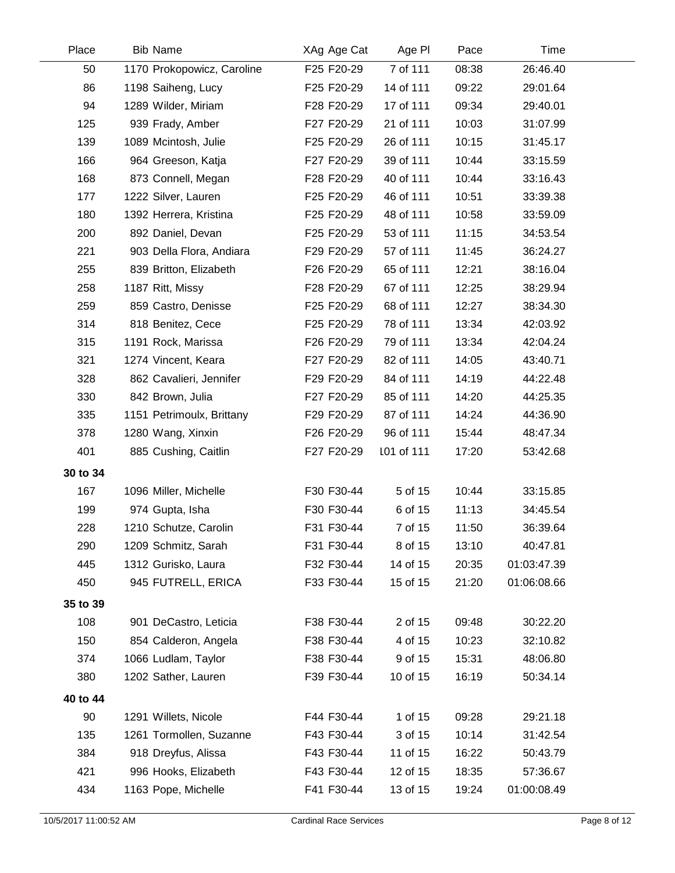| Place    | <b>Bib Name</b>            | XAg Age Cat | Age PI     | Pace  | Time        |  |
|----------|----------------------------|-------------|------------|-------|-------------|--|
| 50       | 1170 Prokopowicz, Caroline | F25 F20-29  | 7 of 111   | 08:38 | 26:46.40    |  |
| 86       | 1198 Saiheng, Lucy         | F25 F20-29  | 14 of 111  | 09:22 | 29:01.64    |  |
| 94       | 1289 Wilder, Miriam        | F28 F20-29  | 17 of 111  | 09:34 | 29:40.01    |  |
| 125      | 939 Frady, Amber           | F27 F20-29  | 21 of 111  | 10:03 | 31:07.99    |  |
| 139      | 1089 Mcintosh, Julie       | F25 F20-29  | 26 of 111  | 10:15 | 31:45.17    |  |
| 166      | 964 Greeson, Katja         | F27 F20-29  | 39 of 111  | 10:44 | 33:15.59    |  |
| 168      | 873 Connell, Megan         | F28 F20-29  | 40 of 111  | 10:44 | 33:16.43    |  |
| 177      | 1222 Silver, Lauren        | F25 F20-29  | 46 of 111  | 10:51 | 33:39.38    |  |
| 180      | 1392 Herrera, Kristina     | F25 F20-29  | 48 of 111  | 10:58 | 33:59.09    |  |
| 200      | 892 Daniel, Devan          | F25 F20-29  | 53 of 111  | 11:15 | 34:53.54    |  |
| 221      | 903 Della Flora, Andiara   | F29 F20-29  | 57 of 111  | 11:45 | 36:24.27    |  |
| 255      | 839 Britton, Elizabeth     | F26 F20-29  | 65 of 111  | 12:21 | 38:16.04    |  |
| 258      | 1187 Ritt, Missy           | F28 F20-29  | 67 of 111  | 12:25 | 38:29.94    |  |
| 259      | 859 Castro, Denisse        | F25 F20-29  | 68 of 111  | 12:27 | 38:34.30    |  |
| 314      | 818 Benitez, Cece          | F25 F20-29  | 78 of 111  | 13:34 | 42:03.92    |  |
| 315      | 1191 Rock, Marissa         | F26 F20-29  | 79 of 111  | 13:34 | 42:04.24    |  |
| 321      | 1274 Vincent, Keara        | F27 F20-29  | 82 of 111  | 14:05 | 43:40.71    |  |
| 328      | 862 Cavalieri, Jennifer    | F29 F20-29  | 84 of 111  | 14:19 | 44:22.48    |  |
| 330      | 842 Brown, Julia           | F27 F20-29  | 85 of 111  | 14:20 | 44:25.35    |  |
| 335      | 1151 Petrimoulx, Brittany  | F29 F20-29  | 87 of 111  | 14:24 | 44:36.90    |  |
| 378      | 1280 Wang, Xinxin          | F26 F20-29  | 96 of 111  | 15:44 | 48:47.34    |  |
| 401      | 885 Cushing, Caitlin       | F27 F20-29  | 101 of 111 | 17:20 | 53:42.68    |  |
| 30 to 34 |                            |             |            |       |             |  |
| 167      | 1096 Miller, Michelle      | F30 F30-44  | 5 of 15    | 10:44 | 33:15.85    |  |
| 199      | 974 Gupta, Isha            | F30 F30-44  | 6 of 15    | 11:13 | 34:45.54    |  |
| 228      | 1210 Schutze, Carolin      | F31 F30-44  | 7 of 15    | 11:50 | 36:39.64    |  |
| 290      | 1209 Schmitz, Sarah        | F31 F30-44  | 8 of 15    | 13:10 | 40:47.81    |  |
| 445      | 1312 Gurisko, Laura        | F32 F30-44  | 14 of 15   | 20:35 | 01:03:47.39 |  |
| 450      | 945 FUTRELL, ERICA         | F33 F30-44  | 15 of 15   | 21:20 | 01:06:08.66 |  |
| 35 to 39 |                            |             |            |       |             |  |
| 108      | 901 DeCastro, Leticia      | F38 F30-44  | 2 of 15    | 09:48 | 30:22.20    |  |
| 150      | 854 Calderon, Angela       | F38 F30-44  | 4 of 15    | 10:23 | 32:10.82    |  |
| 374      | 1066 Ludlam, Taylor        | F38 F30-44  | 9 of 15    | 15:31 | 48:06.80    |  |
| 380      | 1202 Sather, Lauren        | F39 F30-44  | 10 of 15   | 16:19 | 50:34.14    |  |
| 40 to 44 |                            |             |            |       |             |  |
| 90       | 1291 Willets, Nicole       | F44 F30-44  | 1 of 15    | 09:28 | 29:21.18    |  |
| 135      | 1261 Tormollen, Suzanne    | F43 F30-44  | 3 of 15    | 10:14 | 31:42.54    |  |
| 384      | 918 Dreyfus, Alissa        | F43 F30-44  | 11 of 15   | 16:22 | 50:43.79    |  |
| 421      | 996 Hooks, Elizabeth       | F43 F30-44  | 12 of 15   | 18:35 | 57:36.67    |  |
|          |                            |             |            |       |             |  |
| 434      | 1163 Pope, Michelle        | F41 F30-44  | 13 of 15   | 19:24 | 01:00:08.49 |  |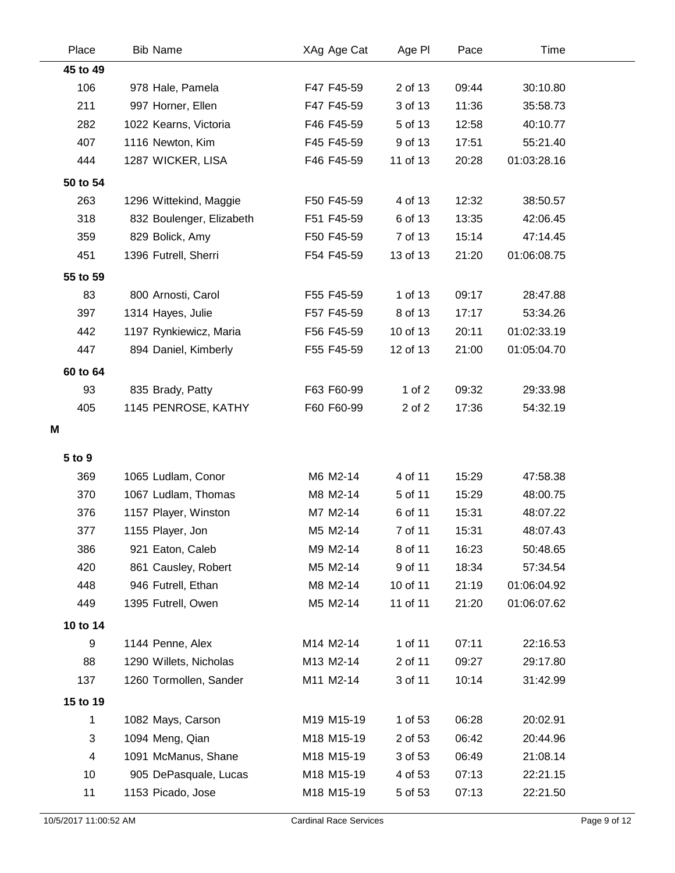| Place    | <b>Bib Name</b>          | XAg Age Cat | Age PI   | Pace  | Time        |  |
|----------|--------------------------|-------------|----------|-------|-------------|--|
| 45 to 49 |                          |             |          |       |             |  |
| 106      | 978 Hale, Pamela         | F47 F45-59  | 2 of 13  | 09:44 | 30:10.80    |  |
| 211      | 997 Horner, Ellen        | F47 F45-59  | 3 of 13  | 11:36 | 35:58.73    |  |
| 282      | 1022 Kearns, Victoria    | F46 F45-59  | 5 of 13  | 12:58 | 40:10.77    |  |
| 407      | 1116 Newton, Kim         | F45 F45-59  | 9 of 13  | 17:51 | 55:21.40    |  |
| 444      | 1287 WICKER, LISA        | F46 F45-59  | 11 of 13 | 20:28 | 01:03:28.16 |  |
| 50 to 54 |                          |             |          |       |             |  |
| 263      | 1296 Wittekind, Maggie   | F50 F45-59  | 4 of 13  | 12:32 | 38:50.57    |  |
| 318      | 832 Boulenger, Elizabeth | F51 F45-59  | 6 of 13  | 13:35 | 42:06.45    |  |
| 359      | 829 Bolick, Amy          | F50 F45-59  | 7 of 13  | 15:14 | 47:14.45    |  |
| 451      | 1396 Futrell, Sherri     | F54 F45-59  | 13 of 13 | 21:20 | 01:06:08.75 |  |
| 55 to 59 |                          |             |          |       |             |  |
| 83       | 800 Arnosti, Carol       | F55 F45-59  | 1 of 13  | 09:17 | 28:47.88    |  |
| 397      | 1314 Hayes, Julie        | F57 F45-59  | 8 of 13  | 17:17 | 53:34.26    |  |
| 442      | 1197 Rynkiewicz, Maria   | F56 F45-59  | 10 of 13 | 20:11 | 01:02:33.19 |  |
| 447      | 894 Daniel, Kimberly     | F55 F45-59  | 12 of 13 | 21:00 | 01:05:04.70 |  |
| 60 to 64 |                          |             |          |       |             |  |
| 93       | 835 Brady, Patty         | F63 F60-99  | 1 of $2$ | 09:32 | 29:33.98    |  |
| 405      | 1145 PENROSE, KATHY      | F60 F60-99  | 2 of 2   | 17:36 | 54:32.19    |  |
| M        |                          |             |          |       |             |  |
| 5 to 9   |                          |             |          |       |             |  |
| 369      | 1065 Ludlam, Conor       | M6 M2-14    | 4 of 11  | 15:29 | 47:58.38    |  |
| 370      | 1067 Ludlam, Thomas      | M8 M2-14    | 5 of 11  | 15:29 | 48:00.75    |  |
| 376      | 1157 Player, Winston     | M7 M2-14    | 6 of 11  | 15:31 | 48:07.22    |  |
| 377      | 1155 Player, Jon         | M5 M2-14    | 7 of 11  | 15:31 | 48:07.43    |  |
| 386      | 921 Eaton, Caleb         | M9 M2-14    | 8 of 11  | 16:23 | 50:48.65    |  |
| 420      | 861 Causley, Robert      | M5 M2-14    | 9 of 11  | 18:34 | 57:34.54    |  |
| 448      | 946 Futrell, Ethan       | M8 M2-14    | 10 of 11 | 21:19 | 01:06:04.92 |  |
| 449      | 1395 Futrell, Owen       | M5 M2-14    | 11 of 11 | 21:20 | 01:06:07.62 |  |
| 10 to 14 |                          |             |          |       |             |  |
| 9        | 1144 Penne, Alex         | M14 M2-14   | 1 of 11  | 07:11 | 22:16.53    |  |
| 88       | 1290 Willets, Nicholas   | M13 M2-14   | 2 of 11  | 09:27 | 29:17.80    |  |
| 137      | 1260 Tormollen, Sander   | M11 M2-14   | 3 of 11  | 10:14 | 31:42.99    |  |
| 15 to 19 |                          |             |          |       |             |  |
| 1        | 1082 Mays, Carson        | M19 M15-19  | 1 of 53  | 06:28 | 20:02.91    |  |
| 3        | 1094 Meng, Qian          | M18 M15-19  | 2 of 53  | 06:42 | 20:44.96    |  |
| 4        | 1091 McManus, Shane      | M18 M15-19  | 3 of 53  | 06:49 | 21:08.14    |  |
| 10       | 905 DePasquale, Lucas    | M18 M15-19  | 4 of 53  | 07:13 | 22:21.15    |  |
| 11       | 1153 Picado, Jose        | M18 M15-19  | 5 of 53  | 07:13 | 22:21.50    |  |
|          |                          |             |          |       |             |  |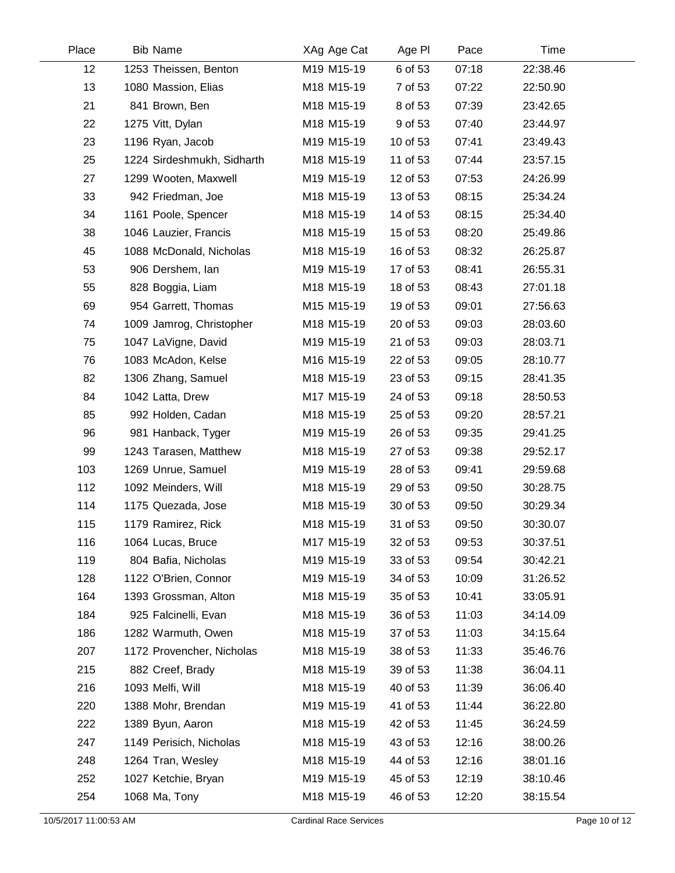| Place | <b>Bib Name</b>            | XAg Age Cat | Age PI   | Pace  | Time     |  |
|-------|----------------------------|-------------|----------|-------|----------|--|
| 12    | 1253 Theissen, Benton      | M19 M15-19  | 6 of 53  | 07:18 | 22:38.46 |  |
| 13    | 1080 Massion, Elias        | M18 M15-19  | 7 of 53  | 07:22 | 22:50.90 |  |
| 21    | 841 Brown, Ben             | M18 M15-19  | 8 of 53  | 07:39 | 23:42.65 |  |
| 22    | 1275 Vitt, Dylan           | M18 M15-19  | 9 of 53  | 07:40 | 23:44.97 |  |
| 23    | 1196 Ryan, Jacob           | M19 M15-19  | 10 of 53 | 07:41 | 23:49.43 |  |
| 25    | 1224 Sirdeshmukh, Sidharth | M18 M15-19  | 11 of 53 | 07:44 | 23:57.15 |  |
| 27    | 1299 Wooten, Maxwell       | M19 M15-19  | 12 of 53 | 07:53 | 24:26.99 |  |
| 33    | 942 Friedman, Joe          | M18 M15-19  | 13 of 53 | 08:15 | 25:34.24 |  |
| 34    | 1161 Poole, Spencer        | M18 M15-19  | 14 of 53 | 08:15 | 25:34.40 |  |
| 38    | 1046 Lauzier, Francis      | M18 M15-19  | 15 of 53 | 08:20 | 25:49.86 |  |
| 45    | 1088 McDonald, Nicholas    | M18 M15-19  | 16 of 53 | 08:32 | 26:25.87 |  |
| 53    | 906 Dershem, lan           | M19 M15-19  | 17 of 53 | 08:41 | 26:55.31 |  |
| 55    | 828 Boggia, Liam           | M18 M15-19  | 18 of 53 | 08:43 | 27:01.18 |  |
| 69    | 954 Garrett, Thomas        | M15 M15-19  | 19 of 53 | 09:01 | 27:56.63 |  |
| 74    | 1009 Jamrog, Christopher   | M18 M15-19  | 20 of 53 | 09:03 | 28:03.60 |  |
| 75    | 1047 LaVigne, David        | M19 M15-19  | 21 of 53 | 09:03 | 28:03.71 |  |
| 76    | 1083 McAdon, Kelse         | M16 M15-19  | 22 of 53 | 09:05 | 28:10.77 |  |
| 82    | 1306 Zhang, Samuel         | M18 M15-19  | 23 of 53 | 09:15 | 28:41.35 |  |
| 84    | 1042 Latta, Drew           | M17 M15-19  | 24 of 53 | 09:18 | 28:50.53 |  |
| 85    | 992 Holden, Cadan          | M18 M15-19  | 25 of 53 | 09:20 | 28:57.21 |  |
| 96    | 981 Hanback, Tyger         | M19 M15-19  | 26 of 53 | 09:35 | 29:41.25 |  |
| 99    | 1243 Tarasen, Matthew      | M18 M15-19  | 27 of 53 | 09:38 | 29:52.17 |  |
| 103   | 1269 Unrue, Samuel         | M19 M15-19  | 28 of 53 | 09:41 | 29:59.68 |  |
| 112   | 1092 Meinders, Will        | M18 M15-19  | 29 of 53 | 09:50 | 30:28.75 |  |
| 114   | 1175 Quezada, Jose         | M18 M15-19  | 30 of 53 | 09:50 | 30:29.34 |  |
| 115   | 1179 Ramirez, Rick         | M18 M15-19  | 31 of 53 | 09:50 | 30:30.07 |  |
| 116   | 1064 Lucas, Bruce          | M17 M15-19  | 32 of 53 | 09:53 | 30:37.51 |  |
| 119   | 804 Bafia, Nicholas        | M19 M15-19  | 33 of 53 | 09:54 | 30:42.21 |  |
| 128   | 1122 O'Brien, Connor       | M19 M15-19  | 34 of 53 | 10:09 | 31:26.52 |  |
| 164   | 1393 Grossman, Alton       | M18 M15-19  | 35 of 53 | 10:41 | 33:05.91 |  |
| 184   | 925 Falcinelli, Evan       | M18 M15-19  | 36 of 53 | 11:03 | 34:14.09 |  |
| 186   | 1282 Warmuth, Owen         | M18 M15-19  | 37 of 53 | 11:03 | 34:15.64 |  |
| 207   | 1172 Provencher, Nicholas  | M18 M15-19  | 38 of 53 | 11:33 | 35:46.76 |  |
| 215   | 882 Creef, Brady           | M18 M15-19  | 39 of 53 | 11:38 | 36:04.11 |  |
| 216   | 1093 Melfi, Will           | M18 M15-19  | 40 of 53 | 11:39 | 36:06.40 |  |
| 220   | 1388 Mohr, Brendan         | M19 M15-19  | 41 of 53 | 11:44 | 36:22.80 |  |
| 222   | 1389 Byun, Aaron           | M18 M15-19  | 42 of 53 | 11:45 | 36:24.59 |  |
| 247   | 1149 Perisich, Nicholas    | M18 M15-19  | 43 of 53 | 12:16 | 38:00.26 |  |
| 248   | 1264 Tran, Wesley          | M18 M15-19  | 44 of 53 | 12:16 | 38:01.16 |  |
| 252   | 1027 Ketchie, Bryan        | M19 M15-19  | 45 of 53 | 12:19 | 38:10.46 |  |
| 254   | 1068 Ma, Tony              | M18 M15-19  | 46 of 53 | 12:20 | 38:15.54 |  |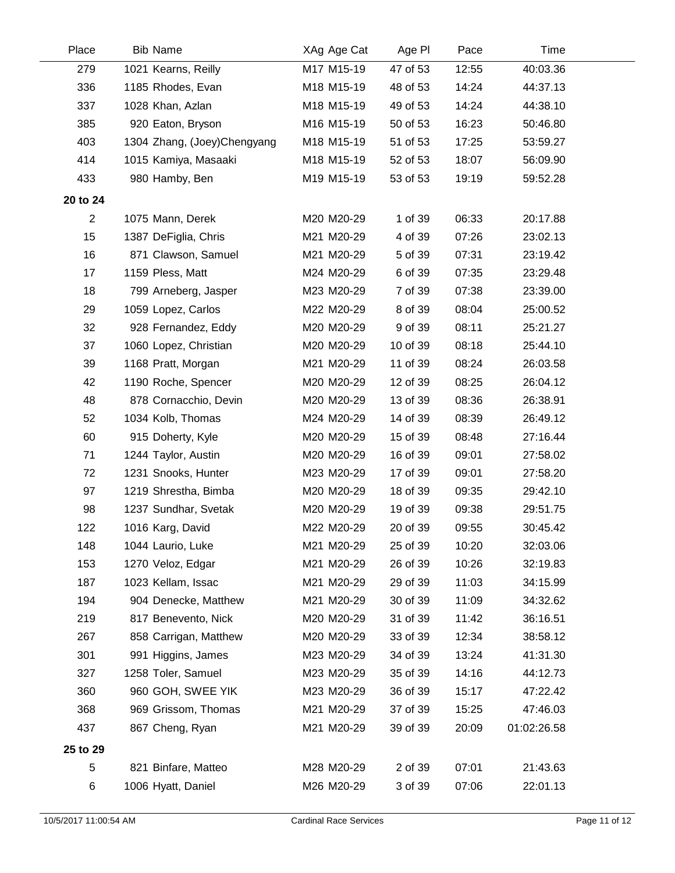| Place          | <b>Bib Name</b>             | XAg Age Cat | Age PI   | Pace  | Time        |  |
|----------------|-----------------------------|-------------|----------|-------|-------------|--|
| 279            | 1021 Kearns, Reilly         | M17 M15-19  | 47 of 53 | 12:55 | 40:03.36    |  |
| 336            | 1185 Rhodes, Evan           | M18 M15-19  | 48 of 53 | 14:24 | 44:37.13    |  |
| 337            | 1028 Khan, Azlan            | M18 M15-19  | 49 of 53 | 14:24 | 44:38.10    |  |
| 385            | 920 Eaton, Bryson           | M16 M15-19  | 50 of 53 | 16:23 | 50:46.80    |  |
| 403            | 1304 Zhang, (Joey)Chengyang | M18 M15-19  | 51 of 53 | 17:25 | 53:59.27    |  |
| 414            | 1015 Kamiya, Masaaki        | M18 M15-19  | 52 of 53 | 18:07 | 56:09.90    |  |
| 433            | 980 Hamby, Ben              | M19 M15-19  | 53 of 53 | 19:19 | 59:52.28    |  |
| 20 to 24       |                             |             |          |       |             |  |
| $\overline{c}$ | 1075 Mann, Derek            | M20 M20-29  | 1 of 39  | 06:33 | 20:17.88    |  |
| 15             | 1387 DeFiglia, Chris        | M21 M20-29  | 4 of 39  | 07:26 | 23:02.13    |  |
| 16             | 871 Clawson, Samuel         | M21 M20-29  | 5 of 39  | 07:31 | 23:19.42    |  |
| 17             | 1159 Pless, Matt            | M24 M20-29  | 6 of 39  | 07:35 | 23:29.48    |  |
| 18             | 799 Arneberg, Jasper        | M23 M20-29  | 7 of 39  | 07:38 | 23:39.00    |  |
| 29             | 1059 Lopez, Carlos          | M22 M20-29  | 8 of 39  | 08:04 | 25:00.52    |  |
| 32             | 928 Fernandez, Eddy         | M20 M20-29  | 9 of 39  | 08:11 | 25:21.27    |  |
| 37             | 1060 Lopez, Christian       | M20 M20-29  | 10 of 39 | 08:18 | 25:44.10    |  |
| 39             | 1168 Pratt, Morgan          | M21 M20-29  | 11 of 39 | 08:24 | 26:03.58    |  |
| 42             | 1190 Roche, Spencer         | M20 M20-29  | 12 of 39 | 08:25 | 26:04.12    |  |
| 48             | 878 Cornacchio, Devin       | M20 M20-29  | 13 of 39 | 08:36 | 26:38.91    |  |
| 52             | 1034 Kolb, Thomas           | M24 M20-29  | 14 of 39 | 08:39 | 26:49.12    |  |
| 60             | 915 Doherty, Kyle           | M20 M20-29  | 15 of 39 | 08:48 | 27:16.44    |  |
| 71             | 1244 Taylor, Austin         | M20 M20-29  | 16 of 39 | 09:01 | 27:58.02    |  |
| 72             | 1231 Snooks, Hunter         | M23 M20-29  | 17 of 39 | 09:01 | 27:58.20    |  |
| 97             | 1219 Shrestha, Bimba        | M20 M20-29  | 18 of 39 | 09:35 | 29:42.10    |  |
| 98             | 1237 Sundhar, Svetak        | M20 M20-29  | 19 of 39 | 09:38 | 29:51.75    |  |
| 122            | 1016 Karg, David            | M22 M20-29  | 20 of 39 | 09:55 | 30:45.42    |  |
| 148            | 1044 Laurio, Luke           | M21 M20-29  | 25 of 39 | 10:20 | 32:03.06    |  |
| 153            | 1270 Veloz, Edgar           | M21 M20-29  | 26 of 39 | 10:26 | 32:19.83    |  |
| 187            | 1023 Kellam, Issac          | M21 M20-29  | 29 of 39 | 11:03 | 34:15.99    |  |
| 194            | 904 Denecke, Matthew        | M21 M20-29  | 30 of 39 | 11:09 | 34:32.62    |  |
| 219            | 817 Benevento, Nick         | M20 M20-29  | 31 of 39 | 11:42 | 36:16.51    |  |
| 267            | 858 Carrigan, Matthew       | M20 M20-29  | 33 of 39 | 12:34 | 38:58.12    |  |
| 301            | 991 Higgins, James          | M23 M20-29  | 34 of 39 | 13:24 | 41:31.30    |  |
| 327            | 1258 Toler, Samuel          | M23 M20-29  | 35 of 39 | 14:16 | 44:12.73    |  |
| 360            | 960 GOH, SWEE YIK           | M23 M20-29  | 36 of 39 | 15:17 | 47:22.42    |  |
| 368            | 969 Grissom, Thomas         | M21 M20-29  | 37 of 39 | 15:25 | 47:46.03    |  |
| 437            | 867 Cheng, Ryan             | M21 M20-29  | 39 of 39 | 20:09 | 01:02:26.58 |  |
| 25 to 29       |                             |             |          |       |             |  |
| 5              | 821 Binfare, Matteo         | M28 M20-29  | 2 of 39  | 07:01 | 21:43.63    |  |
| 6              | 1006 Hyatt, Daniel          | M26 M20-29  | 3 of 39  | 07:06 | 22:01.13    |  |
|                |                             |             |          |       |             |  |